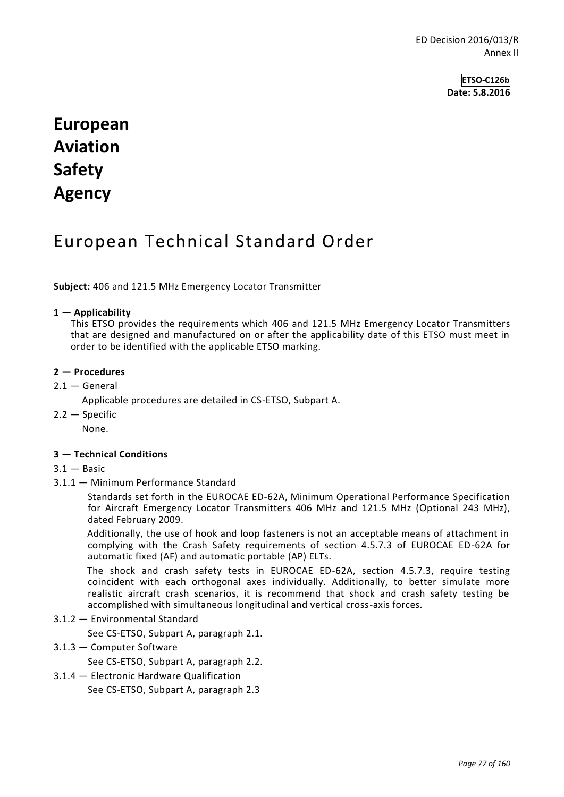**ETSO-C126b Date: 5.8.2016**

# **European Aviation Safety Agency**

# European Technical Standard Order

**Subject:** 406 and 121.5 MHz Emergency Locator Transmitter

### **1 — Applicability**

This ETSO provides the requirements which 406 and 121.5 MHz Emergency Locator Transmitters that are designed and manufactured on or after the applicability date of this ETSO must meet in order to be identified with the applicable ETSO marking.

# **2 — Procedures**

 $2.1 -$  General

Applicable procedures are detailed in CS-ETSO, Subpart A.

2.2 — Specific

None.

### **3 — Technical Conditions**

- $3.1 -$ Basic
- 3.1.1 Minimum Performance Standard

Standards set forth in the EUROCAE ED-62A, Minimum Operational Performance Specification for Aircraft Emergency Locator Transmitters 406 MHz and 121.5 MHz (Optional 243 MHz), dated February 2009.

Additionally, the use of hook and loop fasteners is not an acceptable means of attachment in complying with the Crash Safety requirements of section 4.5.7.3 of EUROCAE ED-62A for automatic fixed (AF) and automatic portable (AP) ELTs.

The shock and crash safety tests in EUROCAE ED-62A, section 4.5.7.3, require testing coincident with each orthogonal axes individually. Additionally, to better simulate more realistic aircraft crash scenarios, it is recommend that shock and crash safety testing be accomplished with simultaneous longitudinal and vertical cross-axis forces.

### 3.1.2 — Environmental Standard

See CS-ETSO, Subpart A, paragraph 2.1.

3.1.3 — Computer Software

See CS-ETSO, Subpart A, paragraph 2.2.

3.1.4 — Electronic Hardware Qualification

See CS-ETSO, Subpart A, paragraph 2.3